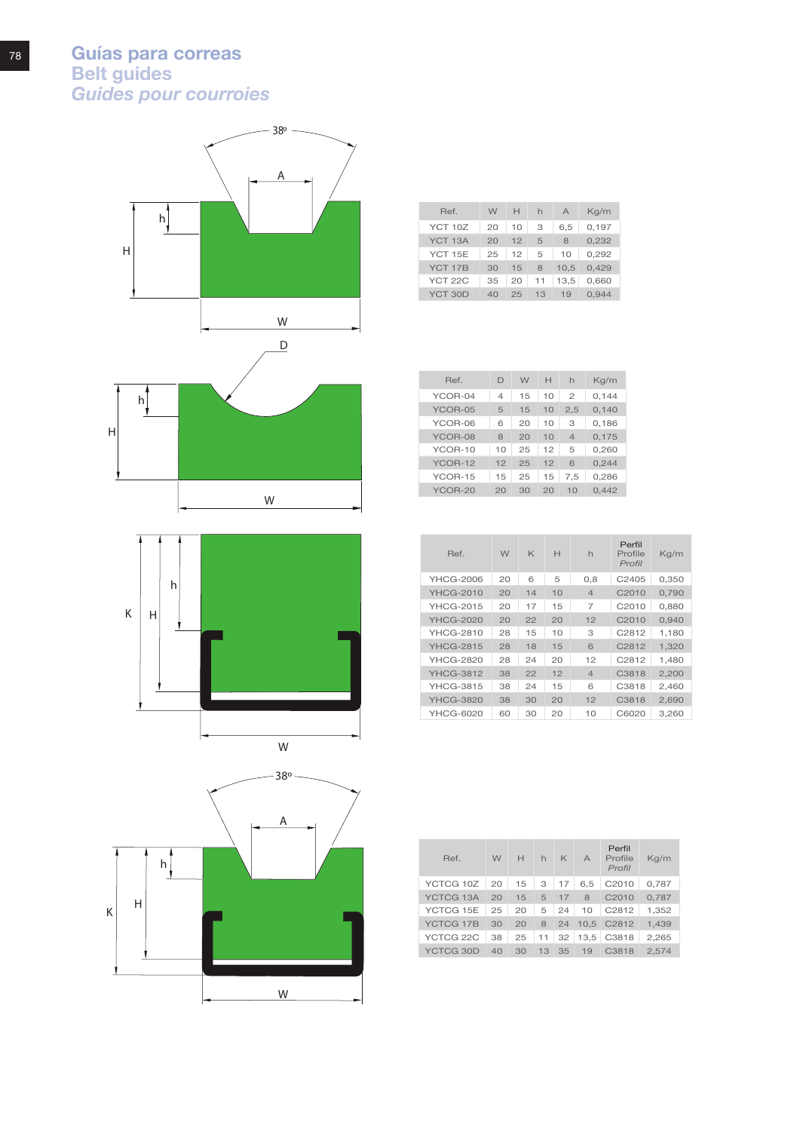





| Ref.                | W  | H  | h  | $\overline{A}$ | Kq/m  |
|---------------------|----|----|----|----------------|-------|
| YCT 10Z             | 20 | 10 | З  | 6.5            | 0.197 |
| YCT <sub>13</sub> A | 20 | 12 | 5  | 8              | 0.232 |
| <b>YCT 15E</b>      | 25 | 12 | 5  | 10             | 0.292 |
| YCT 17B             | 30 | 15 | 8  | 10.5           | 0.429 |
| YCT 22C             | 35 | 20 | 11 | 13.5           | 0.660 |
| YCT 30D             | 40 | 25 | 13 | 19             | 0.944 |

| Ref.    | D  | W  | H  | h              | Kq/m  |
|---------|----|----|----|----------------|-------|
| YCOR-04 | 4  | 15 | 10 | $\mathfrak{p}$ | 0.144 |
| YCOR-05 | 5  | 15 | 10 | 2.5            | 0,140 |
| YCOR-06 | 6  | 20 | 10 | 3              | 0,186 |
| YCOR-08 | 8  | 20 | 10 | $\Delta$       | 0,175 |
| YCOR-10 | 10 | 25 | 12 | 5              | 0,260 |
| YCOR-12 | 12 | 25 | 12 | 6              | 0,244 |
| YCOR-15 | 15 | 25 | 15 | 7.5            | 0.286 |
| YCOR-20 | 20 | 30 | 20 | 10             | 0.442 |

| Ref              | W  | K  | H  | $\mathsf{h}$   | Perfil<br>Profile<br>Profil | Kg/m  |
|------------------|----|----|----|----------------|-----------------------------|-------|
| YHCG-2006        | 20 | ൳  | 5  | 0,8            | C <sub>2405</sub>           | 0,350 |
| YHCG-2010        | 20 | 14 | 10 | $\overline{4}$ | C <sub>2010</sub>           | 0.790 |
| <b>YHCG-2015</b> | 20 | 17 | 15 | 7              | C2010                       | 0.880 |
| <b>YHCG-2020</b> | 20 | 22 | 20 | 12             | C <sub>2010</sub>           | 0,940 |
| <b>YHCG-2810</b> | 28 | 15 | 10 | З              | C2812                       | 1.180 |
| <b>YHCG-2815</b> | 28 | 18 | 15 | 6              | C <sub>2812</sub>           | 1.320 |
| <b>YHCG-2820</b> | 28 | 24 | 20 | 12             | C2812                       | 1.480 |
| <b>YHCG-3812</b> | 38 | 22 | 12 | $\overline{4}$ | C3818                       | 2,200 |
| YHCG-3815        | 38 | 24 | 15 | 6              | C3818                       | 2.460 |
| <b>YHCG-3820</b> | 38 | 30 | 20 | 12             | C3818                       | 2,690 |
| YHCG-6020        | 60 | 30 | 20 | 10             | C6020                       | 3.260 |

| Ref.      | W  | H  | $\mathsf{h}$ | K    | $\Delta$ | Perfil<br>Profile<br>Profil | Kq/m  |
|-----------|----|----|--------------|------|----------|-----------------------------|-------|
| YCTCG 10Z | 20 | 15 | 3            | 17   | 6,5      | C <sub>2010</sub>           | 0.787 |
| YCTCG 13A | 20 | 15 |              | 5 17 | 8        | C <sub>2010</sub>           | 0.787 |
| YCTCG 15E | 25 | 20 | 5            | 24   | 10       | C2812                       | 1.352 |
| YCTCG 17B | 30 | 20 | 8            | 24   |          | 10.5 C2812                  | 1.439 |
| YCTCG 22C | 38 | 25 | 11           | 32   | 13,5     | C3818                       | 2,265 |
| YCTCG 30D | 40 | 30 | 13           | 35   | 19       | C <sub>3818</sub>           | 2.574 |